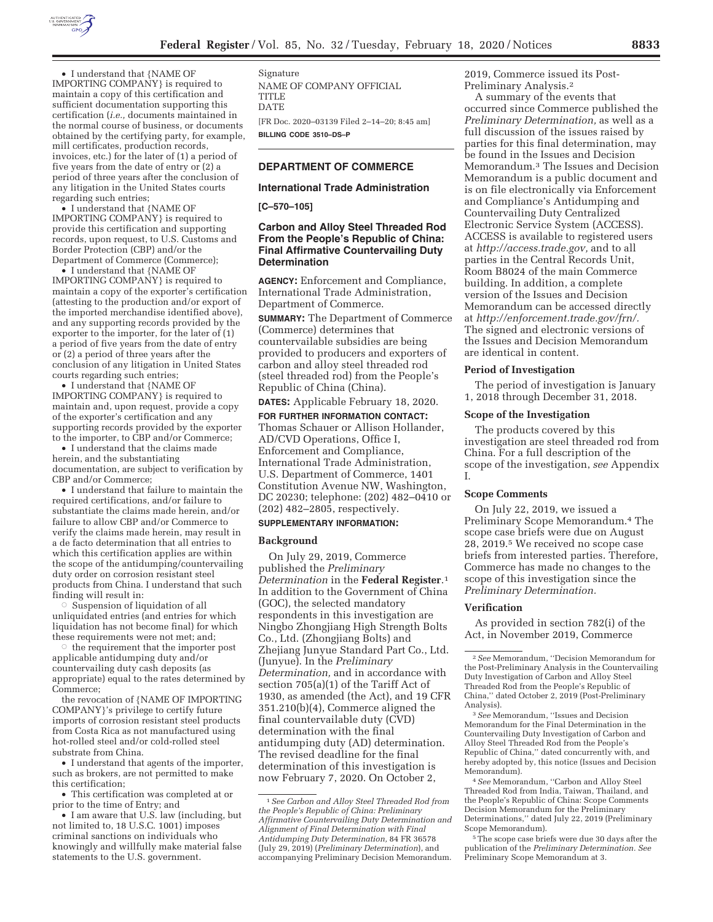

• I understand that {NAME OF IMPORTING COMPANY} is required to maintain a copy of this certification and sufficient documentation supporting this certification (*i.e.,* documents maintained in the normal course of business, or documents obtained by the certifying party, for example, mill certificates, production records, invoices, etc.) for the later of (1) a period of five years from the date of entry or (2) a period of three years after the conclusion of any litigation in the United States courts regarding such entries;

• I understand that {NAME OF IMPORTING COMPANY} is required to provide this certification and supporting records, upon request, to U.S. Customs and Border Protection (CBP) and/or the Department of Commerce (Commerce);

• I understand that {NAME OF IMPORTING COMPANY} is required to maintain a copy of the exporter's certification (attesting to the production and/or export of the imported merchandise identified above), and any supporting records provided by the exporter to the importer, for the later of (1) a period of five years from the date of entry or (2) a period of three years after the conclusion of any litigation in United States courts regarding such entries;

• I understand that {NAME OF IMPORTING COMPANY} is required to maintain and, upon request, provide a copy of the exporter's certification and any supporting records provided by the exporter to the importer, to CBP and/or Commerce;

• I understand that the claims made herein, and the substantiating documentation, are subject to verification by CBP and/or Commerce;

• I understand that failure to maintain the required certifications, and/or failure to substantiate the claims made herein, and/or failure to allow CBP and/or Commerce to verify the claims made herein, may result in a de facto determination that all entries to which this certification applies are within the scope of the antidumping/countervailing duty order on corrosion resistant steel products from China. I understand that such finding will result in:

 $\circ$  Suspension of liquidation of all unliquidated entries (and entries for which liquidation has not become final) for which these requirements were not met; and;

 $\circ$  the requirement that the importer post applicable antidumping duty and/or countervailing duty cash deposits (as appropriate) equal to the rates determined by Commerce;

the revocation of {NAME OF IMPORTING COMPANY}'s privilege to certify future imports of corrosion resistant steel products from Costa Rica as not manufactured using hot-rolled steel and/or cold-rolled steel substrate from China.

• I understand that agents of the importer, such as brokers, are not permitted to make this certification;

• This certification was completed at or prior to the time of Entry; and

• I am aware that U.S. law (including, but not limited to, 18 U.S.C. 1001) imposes criminal sanctions on individuals who knowingly and willfully make material false statements to the U.S. government.

Signature NAME OF COMPANY OFFICIAL TITLE DATE [FR Doc. 2020–03139 Filed 2–14–20; 8:45 am] **BILLING CODE 3510–DS–P** 

### **DEPARTMENT OF COMMERCE**

### **International Trade Administration**

### **[C–570–105]**

### **Carbon and Alloy Steel Threaded Rod From the People's Republic of China: Final Affirmative Countervailing Duty Determination**

**AGENCY:** Enforcement and Compliance, International Trade Administration, Department of Commerce.

**SUMMARY:** The Department of Commerce (Commerce) determines that countervailable subsidies are being provided to producers and exporters of carbon and alloy steel threaded rod (steel threaded rod) from the People's Republic of China (China).

# **DATES:** Applicable February 18, 2020.

**FOR FURTHER INFORMATION CONTACT:**  Thomas Schauer or Allison Hollander, AD/CVD Operations, Office I, Enforcement and Compliance, International Trade Administration, U.S. Department of Commerce, 1401 Constitution Avenue NW, Washington, DC 20230; telephone: (202) 482–0410 or (202) 482–2805, respectively.

# **SUPPLEMENTARY INFORMATION:**

#### **Background**

On July 29, 2019, Commerce published the *Preliminary Determination* in the **Federal Register**.1 In addition to the Government of China (GOC), the selected mandatory respondents in this investigation are Ningbo Zhongjiang High Strength Bolts Co., Ltd. (Zhongjiang Bolts) and Zhejiang Junyue Standard Part Co., Ltd. (Junyue). In the *Preliminary Determination,* and in accordance with section 705(a)(1) of the Tariff Act of 1930, as amended (the Act), and 19 CFR 351.210(b)(4), Commerce aligned the final countervailable duty (CVD) determination with the final antidumping duty (AD) determination. The revised deadline for the final determination of this investigation is now February 7, 2020. On October 2,

2019, Commerce issued its Post-Preliminary Analysis.2

A summary of the events that occurred since Commerce published the *Preliminary Determination,* as well as a full discussion of the issues raised by parties for this final determination, may be found in the Issues and Decision Memorandum.3 The Issues and Decision Memorandum is a public document and is on file electronically via Enforcement and Compliance's Antidumping and Countervailing Duty Centralized Electronic Service System (ACCESS). ACCESS is available to registered users at *http://access.trade.gov,* and to all parties in the Central Records Unit, Room B8024 of the main Commerce building. In addition, a complete version of the Issues and Decision Memorandum can be accessed directly at *http://enforcement.trade.gov/frn/.*  The signed and electronic versions of the Issues and Decision Memorandum are identical in content.

#### **Period of Investigation**

The period of investigation is January 1, 2018 through December 31, 2018.

### **Scope of the Investigation**

The products covered by this investigation are steel threaded rod from China. For a full description of the scope of the investigation, *see* Appendix I.

### **Scope Comments**

On July 22, 2019, we issued a Preliminary Scope Memorandum.4 The scope case briefs were due on August 28, 2019.5 We received no scope case briefs from interested parties. Therefore, Commerce has made no changes to the scope of this investigation since the *Preliminary Determination.* 

#### **Verification**

As provided in section 782(i) of the Act, in November 2019, Commerce

4*See* Memorandum, ''Carbon and Alloy Steel Threaded Rod from India, Taiwan, Thailand, and the People's Republic of China: Scope Comments Decision Memorandum for the Preliminary Determinations,'' dated July 22, 2019 (Preliminary Scope Memorandum).

<sup>5</sup>The scope case briefs were due 30 days after the publication of the *Preliminary Determination. See*  Preliminary Scope Memorandum at 3.

<sup>1</sup>*See Carbon and Alloy Steel Threaded Rod from the People's Republic of China: Preliminary Affirmative Countervailing Duty Determination and Alignment of Final Determination with Final Antidumping Duty Determination,* 84 FR 36578 (July 29, 2019) (*Preliminary Determination*), and accompanying Preliminary Decision Memorandum.

<sup>2</sup>*See* Memorandum, ''Decision Memorandum for the Post-Preliminary Analysis in the Countervailing Duty Investigation of Carbon and Alloy Steel Threaded Rod from the People's Republic of China,'' dated October 2, 2019 (Post-Preliminary Analysis).

<sup>3</sup>*See* Memorandum, ''Issues and Decision Memorandum for the Final Determination in the Countervailing Duty Investigation of Carbon and Alloy Steel Threaded Rod from the People's Republic of China,'' dated concurrently with, and hereby adopted by, this notice (Issues and Decision Memorandum).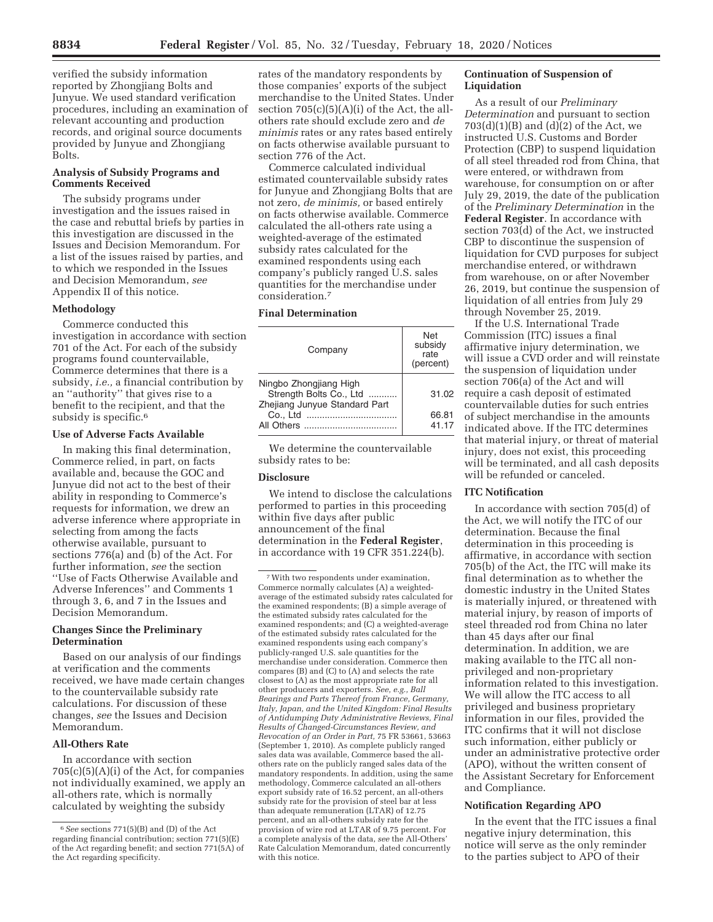verified the subsidy information reported by Zhongjiang Bolts and Junyue. We used standard verification procedures, including an examination of relevant accounting and production records, and original source documents provided by Junyue and Zhongjiang Bolts.

# **Analysis of Subsidy Programs and Comments Received**

The subsidy programs under investigation and the issues raised in the case and rebuttal briefs by parties in this investigation are discussed in the Issues and Decision Memorandum. For a list of the issues raised by parties, and to which we responded in the Issues and Decision Memorandum, *see*  Appendix II of this notice.

### **Methodology**

Commerce conducted this investigation in accordance with section 701 of the Act. For each of the subsidy programs found countervailable, Commerce determines that there is a subsidy, *i.e.,* a financial contribution by an ''authority'' that gives rise to a benefit to the recipient, and that the subsidy is specific.<sup>6</sup>

#### **Use of Adverse Facts Available**

In making this final determination, Commerce relied, in part, on facts available and, because the GOC and Junyue did not act to the best of their ability in responding to Commerce's requests for information, we drew an adverse inference where appropriate in selecting from among the facts otherwise available, pursuant to sections 776(a) and (b) of the Act. For further information, *see* the section ''Use of Facts Otherwise Available and Adverse Inferences'' and Comments 1 through 3, 6, and 7 in the Issues and Decision Memorandum.

### **Changes Since the Preliminary Determination**

Based on our analysis of our findings at verification and the comments received, we have made certain changes to the countervailable subsidy rate calculations. For discussion of these changes, *see* the Issues and Decision Memorandum.

# **All-Others Rate**

In accordance with section  $705(c)(5)(A)(i)$  of the Act, for companies not individually examined, we apply an all-others rate, which is normally calculated by weighting the subsidy

rates of the mandatory respondents by those companies' exports of the subject merchandise to the United States. Under section  $705(c)(5)(A)(i)$  of the Act, the allothers rate should exclude zero and *de minimis* rates or any rates based entirely on facts otherwise available pursuant to section 776 of the Act.

Commerce calculated individual estimated countervailable subsidy rates for Junyue and Zhongjiang Bolts that are not zero, *de minimis,* or based entirely on facts otherwise available. Commerce calculated the all-others rate using a weighted-average of the estimated subsidy rates calculated for the examined respondents using each company's publicly ranged U.S. sales quantities for the merchandise under consideration.7

# **Final Determination**

| Company                                                                            | Net<br>subsidy<br>rate<br>(percent) |
|------------------------------------------------------------------------------------|-------------------------------------|
| Ningbo Zhongjiang High<br>Strength Bolts Co., Ltd<br>Zhejiang Junyue Standard Part | 31.02                               |
| Co., Ltd                                                                           | 66.81<br>41.17                      |

We determine the countervailable subsidy rates to be:

# **Disclosure**

We intend to disclose the calculations performed to parties in this proceeding within five days after public announcement of the final determination in the **Federal Register**, in accordance with 19 CFR 351.224(b).

# **Continuation of Suspension of Liquidation**

As a result of our *Preliminary Determination* and pursuant to section  $703(d)(1)(B)$  and  $(d)(2)$  of the Act, we instructed U.S. Customs and Border Protection (CBP) to suspend liquidation of all steel threaded rod from China, that were entered, or withdrawn from warehouse, for consumption on or after July 29, 2019, the date of the publication of the *Preliminary Determination* in the **Federal Register**. In accordance with section 703(d) of the Act, we instructed CBP to discontinue the suspension of liquidation for CVD purposes for subject merchandise entered, or withdrawn from warehouse, on or after November 26, 2019, but continue the suspension of liquidation of all entries from July 29 through November 25, 2019.

If the U.S. International Trade Commission (ITC) issues a final affirmative injury determination, we will issue a CVD order and will reinstate the suspension of liquidation under section 706(a) of the Act and will require a cash deposit of estimated countervailable duties for such entries of subject merchandise in the amounts indicated above. If the ITC determines that material injury, or threat of material injury, does not exist, this proceeding will be terminated, and all cash deposits will be refunded or canceled.

# **ITC Notification**

In accordance with section 705(d) of the Act, we will notify the ITC of our determination. Because the final determination in this proceeding is affirmative, in accordance with section 705(b) of the Act, the ITC will make its final determination as to whether the domestic industry in the United States is materially injured, or threatened with material injury, by reason of imports of steel threaded rod from China no later than 45 days after our final determination. In addition, we are making available to the ITC all nonprivileged and non-proprietary information related to this investigation. We will allow the ITC access to all privileged and business proprietary information in our files, provided the ITC confirms that it will not disclose such information, either publicly or under an administrative protective order (APO), without the written consent of the Assistant Secretary for Enforcement and Compliance.

### **Notification Regarding APO**

In the event that the ITC issues a final negative injury determination, this notice will serve as the only reminder to the parties subject to APO of their

<sup>6</sup>*See* sections 771(5)(B) and (D) of the Act regarding financial contribution; section 771(5)(E) of the Act regarding benefit; and section 771(5A) of the Act regarding specificity.

<sup>7</sup>With two respondents under examination, Commerce normally calculates (A) a weightedaverage of the estimated subsidy rates calculated for the examined respondents; (B) a simple average of the estimated subsidy rates calculated for the examined respondents; and (C) a weighted-average of the estimated subsidy rates calculated for the examined respondents using each company's publicly-ranged U.S. sale quantities for the merchandise under consideration. Commerce then compares (B) and (C) to (A) and selects the rate closest to (A) as the most appropriate rate for all other producers and exporters. *See, e.g., Ball Bearings and Parts Thereof from France, Germany, Italy, Japan, and the United Kingdom: Final Results of Antidumping Duty Administrative Reviews, Final Results of Changed-Circumstances Review, and Revocation of an Order in Part,* 75 FR 53661, 53663 (September 1, 2010). As complete publicly ranged sales data was available, Commerce based the allothers rate on the publicly ranged sales data of the mandatory respondents. In addition, using the same methodology, Commerce calculated an all-others export subsidy rate of 16.52 percent, an all-others subsidy rate for the provision of steel bar at less than adequate remuneration (LTAR) of 12.75 percent, and an all-others subsidy rate for the provision of wire rod at LTAR of 9.75 percent. For a complete analysis of the data, *see* the All-Others' Rate Calculation Memorandum, dated concurrently with this notice.